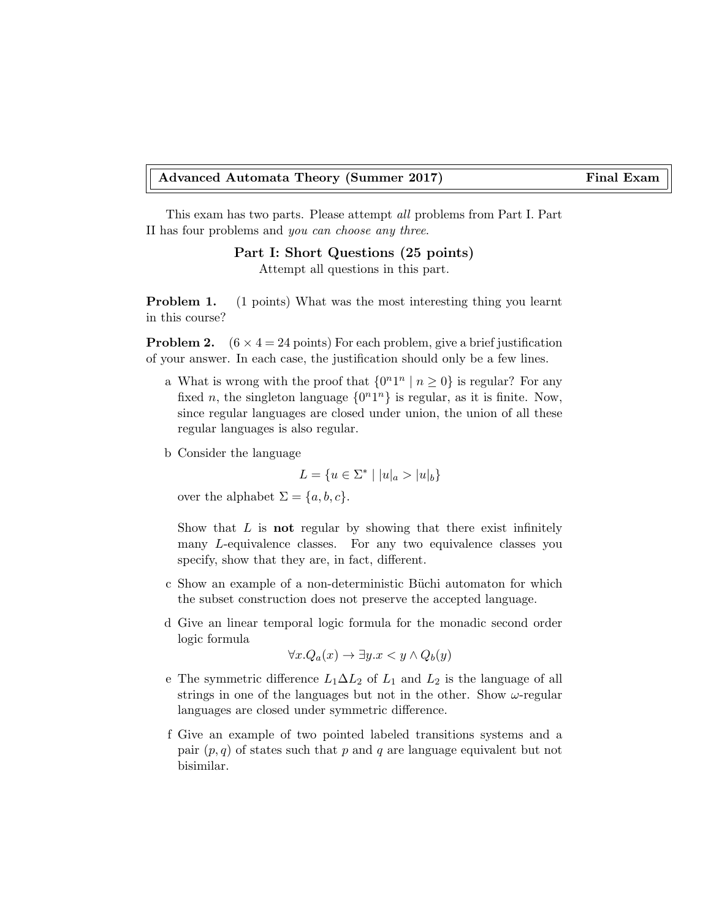## Advanced Automata Theory (Summer 2017) Final Exam

This exam has two parts. Please attempt all problems from Part I. Part II has four problems and you can choose any three.

Part I: Short Questions (25 points)

Attempt all questions in this part.

**Problem 1.** (1 points) What was the most interesting thing you learnt in this course?

**Problem 2.**  $(6 \times 4 = 24 \text{ points})$  For each problem, give a brief justification of your answer. In each case, the justification should only be a few lines.

- a What is wrong with the proof that  $\{0^n1^n \mid n \geq 0\}$  is regular? For any fixed *n*, the singleton language  $\{0^n1^n\}$  is regular, as it is finite. Now, since regular languages are closed under union, the union of all these regular languages is also regular.
- b Consider the language

$$
L = \{ u \in \Sigma^* \mid |u|_a > |u|_b \}
$$

over the alphabet  $\Sigma = \{a, b, c\}.$ 

Show that  $L$  is **not** regular by showing that there exist infinitely many L-equivalence classes. For any two equivalence classes you specify, show that they are, in fact, different.

- c Show an example of a non-deterministic B¨uchi automaton for which the subset construction does not preserve the accepted language.
- d Give an linear temporal logic formula for the monadic second order logic formula

$$
\forall x. Q_a(x) \to \exists y. x < y \land Q_b(y)
$$

- e The symmetric difference  $L_1 \Delta L_2$  of  $L_1$  and  $L_2$  is the language of all strings in one of the languages but not in the other. Show  $\omega$ -regular languages are closed under symmetric difference.
- f Give an example of two pointed labeled transitions systems and a pair  $(p, q)$  of states such that p and q are language equivalent but not bisimilar.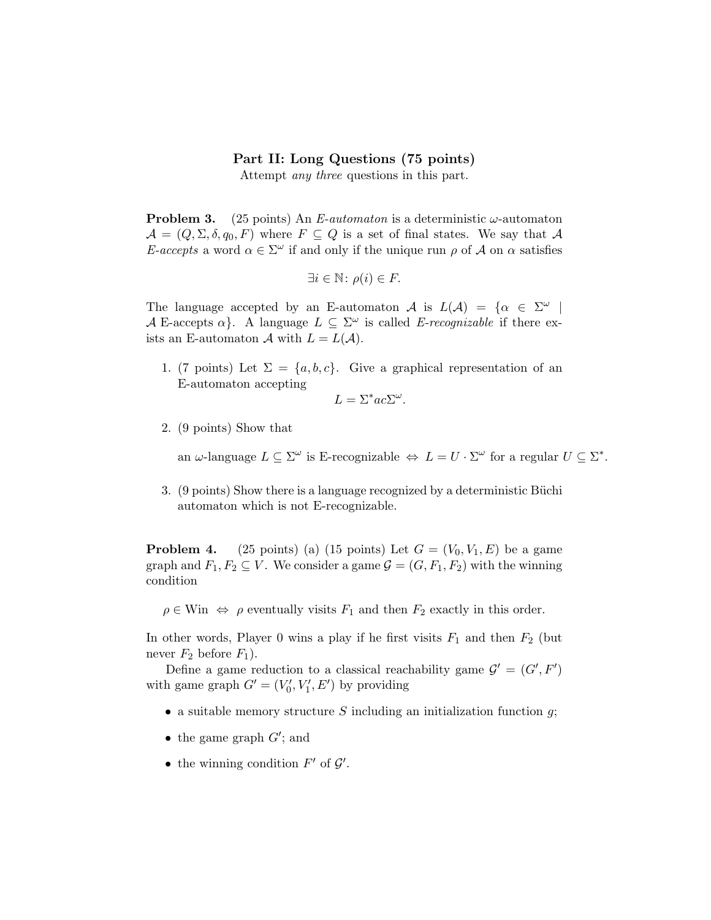## Part II: Long Questions (75 points)

Attempt any three questions in this part.

**Problem 3.** (25 points) An E-automaton is a deterministic  $\omega$ -automaton  $\mathcal{A} = (Q, \Sigma, \delta, q_0, F)$  where  $F \subseteq Q$  is a set of final states. We say that A E-accepts a word  $\alpha \in \Sigma^{\omega}$  if and only if the unique run  $\rho$  of A on  $\alpha$  satisfies

$$
\exists i \in \mathbb{N} \colon \rho(i) \in F.
$$

The language accepted by an E-automaton A is  $L(\mathcal{A}) = \{ \alpha \in \Sigma^{\omega} \mid$ A E-accepts  $\alpha$ . A language  $L \subseteq \Sigma^{\omega}$  is called E-recognizable if there exists an E-automaton A with  $L = L(A)$ .

1. (7 points) Let  $\Sigma = \{a, b, c\}$ . Give a graphical representation of an E-automaton accepting

$$
L = \Sigma^* ac \Sigma^\omega.
$$

2. (9 points) Show that

an  $\omega$ -language  $L \subseteq \Sigma^{\omega}$  is E-recognizable  $\Leftrightarrow L = U \cdot \Sigma^{\omega}$  for a regular  $U \subseteq \Sigma^*$ .

3. (9 points) Show there is a language recognized by a deterministic Büchi automaton which is not E-recognizable.

**Problem 4.** (25 points) (a) (15 points) Let  $G = (V_0, V_1, E)$  be a game graph and  $F_1, F_2 \subseteq V$ . We consider a game  $\mathcal{G} = (G, F_1, F_2)$  with the winning condition

 $\rho \in \text{Win} \Leftrightarrow \rho$  eventually visits  $F_1$  and then  $F_2$  exactly in this order.

In other words, Player 0 wins a play if he first visits  $F_1$  and then  $F_2$  (but never  $F_2$  before  $F_1$ ).

Define a game reduction to a classical reachability game  $\mathcal{G}' = (G', F')$ with game graph  $G' = (V'_0, V'_1, E')$  by providing

- a suitable memory structure S including an initialization function  $g$ ;
- the game graph  $G'$ ; and
- the winning condition  $F'$  of  $\mathcal{G}'$ .